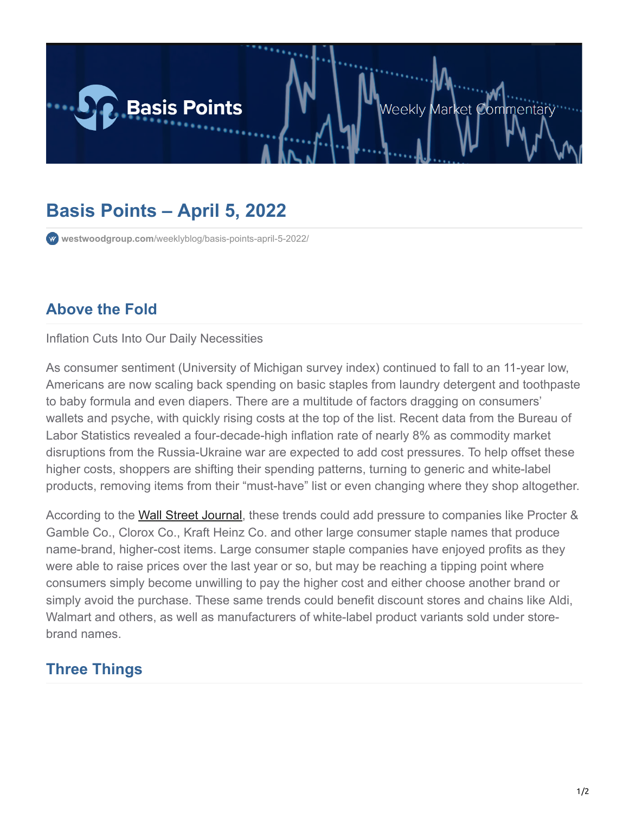

## **Basis Points – April 5, 2022**

**westwoodgroup.com**[/weeklyblog/basis-points-april-5-2022/](https://westwoodgroup.com/weeklyblog/basis-points-april-5-2022/)

## **Above the Fold**

Inflation Cuts Into Our Daily Necessities

As consumer sentiment (University of Michigan survey index) continued to fall to an 11-year low, Americans are now scaling back spending on basic staples from laundry detergent and toothpaste to baby formula and even diapers. There are a multitude of factors dragging on consumers' wallets and psyche, with quickly rising costs at the top of the list. Recent data from the Bureau of Labor Statistics revealed a four-decade-high inflation rate of nearly 8% as commodity market disruptions from the Russia-Ukraine war are expected to add cost pressures. To help offset these higher costs, shoppers are shifting their spending patterns, turning to generic and white-label products, removing items from their "must-have" list or even changing where they shop altogether.

According to the [Wall Street Journal,](https://www.wsj.com/articles/with-inflation-not-letting-up-shoppers-cut-back-on-staples-11649064601) these trends could add pressure to companies like Procter & Gamble Co., Clorox Co., Kraft Heinz Co. and other large consumer staple names that produce name-brand, higher-cost items. Large consumer staple companies have enjoyed profits as they were able to raise prices over the last year or so, but may be reaching a tipping point where consumers simply become unwilling to pay the higher cost and either choose another brand or simply avoid the purchase. These same trends could benefit discount stores and chains like Aldi, Walmart and others, as well as manufacturers of white-label product variants sold under storebrand names.

## **Three Things**